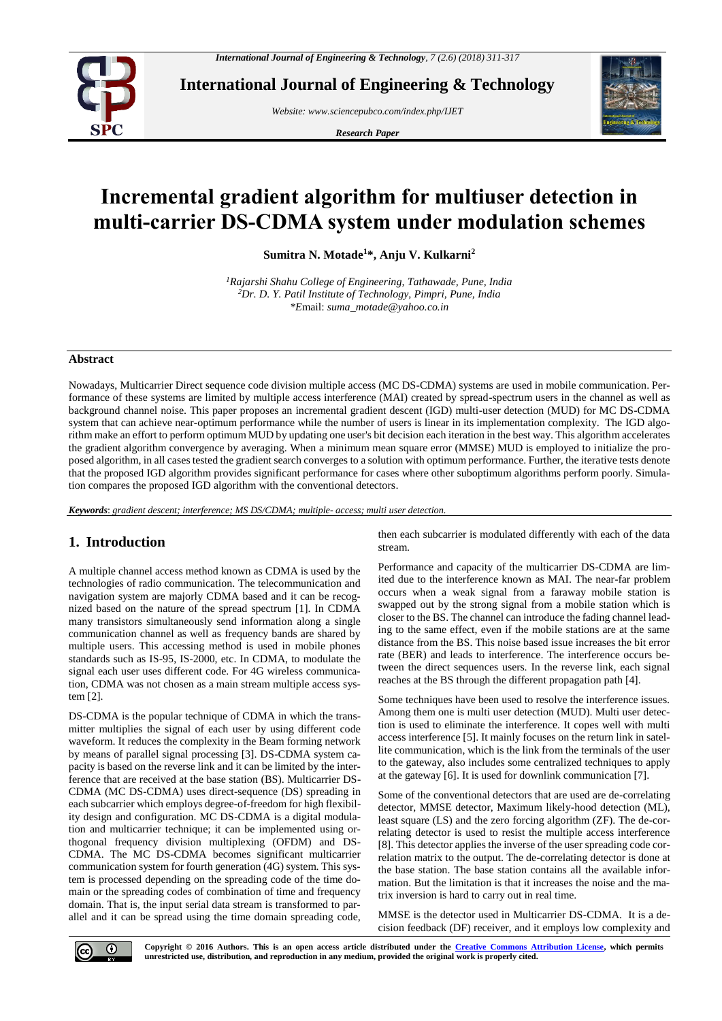

**International Journal of Engineering & Technology**

*Website: www.sciencepubco.com/index.php/IJET*

*Research Paper*



# **Incremental gradient algorithm for multiuser detection in multi-carrier DS-CDMA system under modulation schemes**

**Sumitra N. Motade<sup>1</sup>\*, Anju V. Kulkarni<sup>2</sup>**

*<sup>1</sup>Rajarshi Shahu College of Engineering, Tathawade, Pune, India <sup>2</sup>Dr. D. Y. Patil Institute of Technology, Pimpri, Pune, India \*E*mail: *suma\_motade@yahoo.co.in*

#### **Abstract**

Nowadays, Multicarrier Direct sequence code division multiple access (MC DS-CDMA) systems are used in mobile communication. Performance of these systems are limited by multiple access interference (MAI) created by spread-spectrum users in the channel as well as background channel noise. This paper proposes an incremental gradient descent (IGD) multi-user detection (MUD) for MC DS-CDMA system that can achieve near-optimum performance while the number of users is linear in its implementation complexity. The IGD algorithm make an effort to perform optimum MUD by updating one user's bit decision each iteration in the best way. This algorithm accelerates the gradient algorithm convergence by averaging. When a minimum mean square error (MMSE) MUD is employed to initialize the proposed algorithm, in all cases tested the gradient search converges to a solution with optimum performance. Further, the iterative tests denote that the proposed IGD algorithm provides significant performance for cases where other suboptimum algorithms perform poorly. Simulation compares the proposed IGD algorithm with the conventional detectors.

*Keywords*: *gradient descent; interference; MS DS/CDMA; multiple- access; multi user detection.*

## **1. Introduction**

A multiple channel access method known as CDMA is used by the technologies of radio communication. The telecommunication and navigation system are majorly CDMA based and it can be recognized based on the nature of the spread spectrum [1]. In CDMA many transistors simultaneously send information along a single communication channel as well as frequency bands are shared by multiple users. This accessing method is used in mobile phones standards such as IS-95, IS-2000, etc. In CDMA, to modulate the signal each user uses different code. For 4G wireless communication, CDMA was not chosen as a main stream multiple access system [2].

DS-CDMA is the popular technique of CDMA in which the transmitter multiplies the signal of each user by using different code waveform. It reduces the complexity in the Beam forming network by means of parallel signal processing [3]. DS-CDMA system capacity is based on the reverse link and it can be limited by the interference that are received at the base station (BS). Multicarrier DS-CDMA (MC DS-CDMA) uses direct-sequence (DS) spreading in each subcarrier which employs degree-of-freedom for high flexibility design and configuration. MC DS-CDMA is a digital modulation and multicarrier technique; it can be implemented using orthogonal frequency division multiplexing (OFDM) and DS-CDMA. The MC DS-CDMA becomes significant multicarrier communication system for fourth generation (4G) system. This system is processed depending on the spreading code of the time domain or the spreading codes of combination of time and frequency domain. That is, the input serial data stream is transformed to parallel and it can be spread using the time domain spreading code, then each subcarrier is modulated differently with each of the data stream.

Performance and capacity of the multicarrier DS-CDMA are limited due to the interference known as MAI. The near-far problem occurs when a weak signal from a faraway mobile station is swapped out by the strong signal from a mobile station which is closer to the BS. The channel can introduce the fading channel leading to the same effect, even if the mobile stations are at the same distance from the BS. This noise based issue increases the bit error rate (BER) and leads to interference. The interference occurs between the direct sequences users. In the reverse link, each signal reaches at the BS through the different propagation path [4].

Some techniques have been used to resolve the interference issues. Among them one is multi user detection (MUD). Multi user detection is used to eliminate the interference. It copes well with multi access interference [5]. It mainly focuses on the return link in satellite communication, which is the link from the terminals of the user to the gateway, also includes some centralized techniques to apply at the gateway [6]. It is used for downlink communication [7].

Some of the conventional detectors that are used are de-correlating detector, MMSE detector, Maximum likely-hood detection (ML), least square (LS) and the zero forcing algorithm (ZF). The de-correlating detector is used to resist the multiple access interference [8]. This detector applies the inverse of the user spreading code correlation matrix to the output. The de-correlating detector is done at the base station. The base station contains all the available information. But the limitation is that it increases the noise and the matrix inversion is hard to carry out in real time.

MMSE is the detector used in Multicarrier DS-CDMA. It is a decision feedback (DF) receiver, and it employs low complexity and

**Copyright © 2016 Authors. This is an open access article distributed under the [Creative Commons Attribution License,](http://creativecommons.org/licenses/by/3.0/) which permits unrestricted use, distribution, and reproduction in any medium, provided the original work is properly cited.**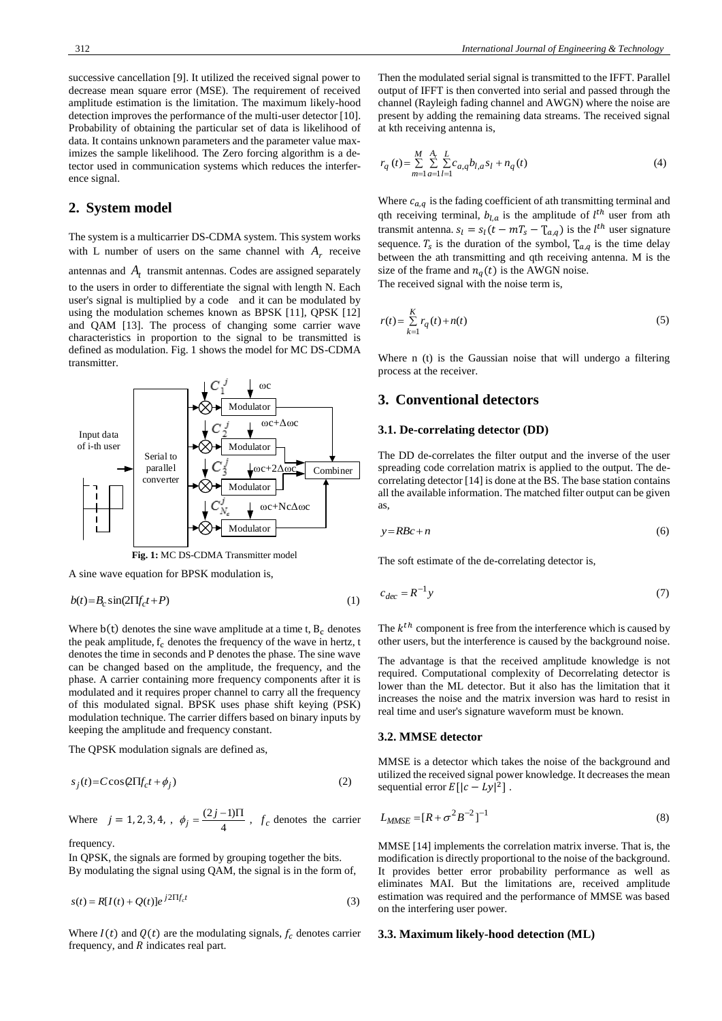successive cancellation [9]. It utilized the received signal power to decrease mean square error (MSE). The requirement of received amplitude estimation is the limitation. The maximum likely-hood detection improves the performance of the multi-user detector [10]. Probability of obtaining the particular set of data is likelihood of data. It contains unknown parameters and the parameter value maximizes the sample likelihood. The Zero forcing algorithm is a detector used in communication systems which reduces the interference signal.

## **2. System model**

The system is a multicarrier DS-CDMA system. This system works with L number of users on the same channel with  $A_r$  receive

antennas and  $A_t$  transmit antennas. Codes are assigned separately to the users in order to differentiate the signal with length N. Each user's signal is multiplied by a code and it can be modulated by using the modulation schemes known as BPSK [11], QPSK [12] and QAM [13]. The process of changing some carrier wave characteristics in proportion to the signal to be transmitted is defined as modulation. Fig. 1 shows the model for MC DS-CDMA transmitter.



A sine wave equation for BPSK modulation is,

$$
b(t) = B_c \sin(2\Pi f_c t + P)
$$
 (1)

Where  $b(t)$  denotes the sine wave amplitude at a time t,  $B_c$  denotes the peak amplitude,  $f_c$  denotes the frequency of the wave in hertz, t denotes the time in seconds and P denotes the phase. The sine wave can be changed based on the amplitude, the frequency, and the phase. A carrier containing more frequency components after it is modulated and it requires proper channel to carry all the frequency of this modulated signal. BPSK uses phase shift keying (PSK) modulation technique. The carrier differs based on binary inputs by keeping the amplitude and frequency constant.

The QPSK modulation signals are defined as,

$$
s_j(t) = C\cos(2\Pi f_c t + \phi_j)
$$
 (2)

Where  $j = 1, 2, 3, 4, , \phi_j = \frac{(2j)}{4}$  $\phi_j = \frac{(2j-1)\Pi}{4}$ ,  $f_c$  denotes the carrier

frequency.

In QPSK, the signals are formed by grouping together the bits. By modulating the signal using QAM, the signal is in the form of,

$$
s(t) = R[I(t) + Q(t)]e^{j2\Pi f_c t}
$$
\n
$$
(3)
$$

Where  $I(t)$  and  $Q(t)$  are the modulating signals,  $f_c$  denotes carrier frequency, and  $R$  indicates real part.

Then the modulated serial signal is transmitted to the IFFT. Parallel output of IFFT is then converted into serial and passed through the channel (Rayleigh fading channel and AWGN) where the noise are present by adding the remaining data streams. The received signal at kth receiving antenna is,

$$
r_q(t) = \sum_{m=1}^{M} \sum_{a=1}^{A_r} \sum_{l=1}^{L} c_{a,q} b_{l,a} s_l + n_q(t)
$$
 (4)

Where  $c_{a,q}$  is the fading coefficient of ath transmitting terminal and qth receiving terminal,  $b_{l,a}$  is the amplitude of  $l^{th}$  user from ath transmit antenna.  $s_l = s_l(t - mT_s - T_{a,q})$  is the  $l^{th}$  user signature sequence.  $T_s$  is the duration of the symbol,  $T_{a,q}$  is the time delay between the ath transmitting and qth receiving antenna. M is the size of the frame and  $n_q(t)$  is the AWGN noise.

The received signal with the noise term is,

$$
r(t) = \sum_{k=1}^{K} r_q(t) + n(t)
$$
\n(5)

Where n (t) is the Gaussian noise that will undergo a filtering process at the receiver.

### **3. Conventional detectors**

### **3.1. De-correlating detector (DD)**

The DD de-correlates the filter output and the inverse of the user spreading code correlation matrix is applied to the output. The decorrelating detector [14] is done at the BS. The base station contains all the available information. The matched filter output can be given as,

$$
y = R B c + n \tag{6}
$$

The soft estimate of the de-correlating detector is,

$$
c_{dec} = R^{-1} y \tag{7}
$$

The  $k<sup>th</sup>$  component is free from the interference which is caused by other users, but the interference is caused by the background noise.

The advantage is that the received amplitude knowledge is not required. Computational complexity of Decorrelating detector is lower than the ML detector. But it also has the limitation that it increases the noise and the matrix inversion was hard to resist in real time and user's signature waveform must be known.

#### **3.2. MMSE detector**

MMSE is a detector which takes the noise of the background and utilized the received signal power knowledge. It decreases the mean sequential error  $E[|c - Ly|^2]$ .

$$
L_{MMSE} = [R + \sigma^2 B^{-2}]^{-1}
$$
 (8)

MMSE [14] implements the correlation matrix inverse. That is, the modification is directly proportional to the noise of the background. It provides better error probability performance as well as eliminates MAI. But the limitations are, received amplitude estimation was required and the performance of MMSE was based on the interfering user power.

#### **3.3. Maximum likely-hood detection (ML)**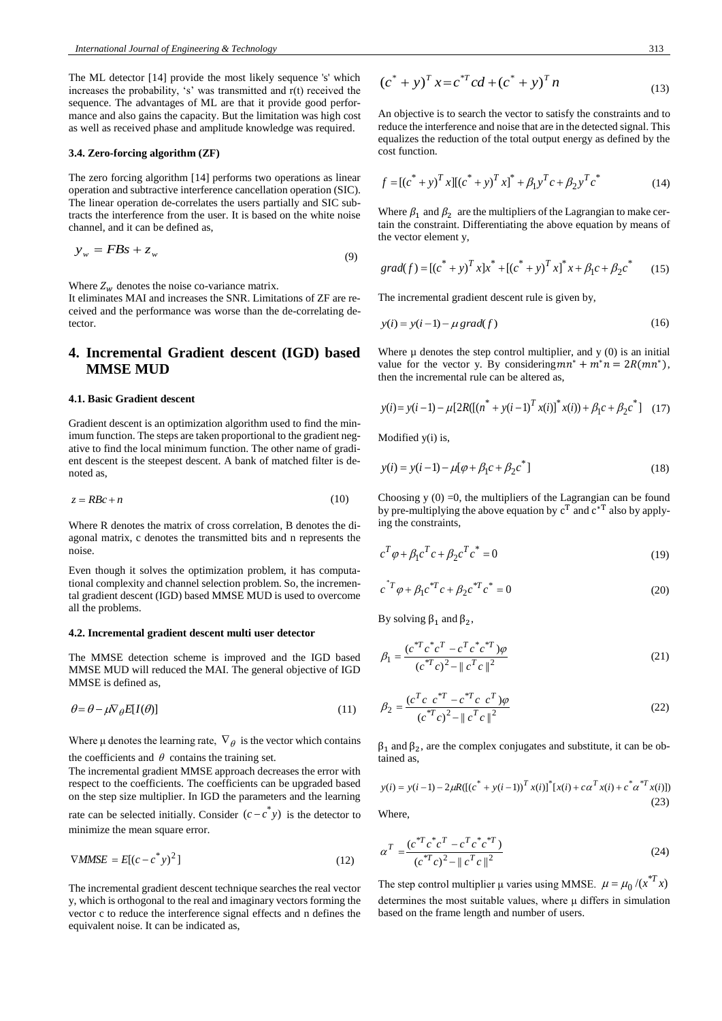The ML detector [14] provide the most likely sequence 's' which increases the probability, 's' was transmitted and r(t) received the sequence. The advantages of ML are that it provide good performance and also gains the capacity. But the limitation was high cost as well as received phase and amplitude knowledge was required.

#### **3.4. Zero-forcing algorithm (ZF)**

The zero forcing algorithm [14] performs two operations as linear operation and subtractive interference cancellation operation (SIC). The linear operation de-correlates the users partially and SIC subtracts the interference from the user. It is based on the white noise channel, and it can be defined as,

$$
y_w = FBs + z_w \tag{9}
$$

Where  $Z_w$  denotes the noise co-variance matrix.

It eliminates MAI and increases the SNR. Limitations of ZF are received and the performance was worse than the de-correlating detector.

# **4. Incremental Gradient descent (IGD) based MMSE MUD**

#### **4.1. Basic Gradient descent**

Gradient descent is an optimization algorithm used to find the minimum function. The steps are taken proportional to the gradient negative to find the local minimum function. The other name of gradient descent is the steepest descent. A bank of matched filter is denoted as,

$$
z = R B c + n \tag{10}
$$

Where R denotes the matrix of cross correlation, B denotes the diagonal matrix, c denotes the transmitted bits and n represents the noise.

Even though it solves the optimization problem, it has computational complexity and channel selection problem. So, the incremental gradient descent (IGD) based MMSE MUD is used to overcome all the problems.

#### **4.2. Incremental gradient descent multi user detector**

The MMSE detection scheme is improved and the IGD based MMSE MUD will reduced the MAI. The general objective of IGD MMSE is defined as,

$$
\theta = \theta - \mu \nabla_{\theta} E[I(\theta)] \tag{11}
$$

Where  $\mu$  denotes the learning rate,  $\nabla_{\theta}$  is the vector which contains

the coefficients and  $\theta$  contains the training set. The incremental gradient MMSE approach decreases the error with respect to the coefficients. The coefficients can be upgraded based on the step size multiplier. In IGD the parameters and the learning rate can be selected initially. Consider  $(c - c^*y)$  is the detector to minimize the mean square error.

$$
\nabla MMSE = E[(c - c^*)^2]
$$
\n(12)

The incremental gradient descent technique searches the real vector y, which is orthogonal to the real and imaginary vectors forming the vector c to reduce the interference signal effects and n defines the equivalent noise. It can be indicated as,

$$
(c^* + y)^T x = c^{*T} c d + (c^* + y)^T n
$$
\n(13)

An objective is to search the vector to satisfy the constraints and to reduce the interference and noise that are in the detected signal. This equalizes the reduction of the total output energy as defined by the cost function.

$$
f = [(c^* + y)^T x][(c^* + y)^T x]^* + \beta_1 y^T c + \beta_2 y^T c^* \tag{14}
$$

Where  $\beta_1$  and  $\beta_2$  are the multipliers of the Lagrangian to make certain the constraint. Differentiating the above equation by means of the vector element y,

$$
grad(f) = [(c^* + y)^T x]x^* + [(c^* + y)^T x]^* x + \beta_1 c + \beta_2 c^* \tag{15}
$$

The incremental gradient descent rule is given by,

$$
y(i) = y(i-1) - \mu \text{grad}(f) \tag{16}
$$

Where  $\mu$  denotes the step control multiplier, and  $y(0)$  is an initial value for the vector y. By considering  $mn^* + m^*n = 2R(mn^*),$ then the incremental rule can be altered as,

$$
y(i) = y(i-1) - \mu [2R([((n^* + y(i-1))^{T} x(i))^{*} x(i)) + \beta_1 c + \beta_2 c^{*}] \quad (17)
$$

Modified y(i) is,

$$
y(i) = y(i-1) - \mu[\varphi + \beta_1 c + \beta_2 c^*]
$$
\n(18)

Choosing  $y(0) = 0$ , the multipliers of the Lagrangian can be found by pre-multiplying the above equation by  $c^T$  and  $c^{*T}$  also by applying the constraints,

$$
c^T \varphi + \beta_1 c^T c + \beta_2 c^T c^* = 0 \tag{19}
$$

$$
c^{*T}\varphi + \beta_1 c^{*T}c + \beta_2 c^{*T}c^* = 0
$$
 (20)

By solving  $β_1$  and  $β_2$ ,

$$
\beta_1 = \frac{(c^{*T}c^*c^T - c^Tc^*c^{*T})\varphi}{(c^{*T}c)^2 - ||c^Tc||^2}
$$
\n(21)

$$
\beta_2 = \frac{(c^T c \ c^* T - c^* C \ c^T) \varphi}{(c^* C)^2 - ||c^T c||^2}
$$
\n(22)

 $\beta_1$  and  $\beta_2$ , are the complex conjugates and substitute, it can be obtained as,

$$
y(i) = y(i-1) - 2\mu R \left( \left[ (c^* + y(i-1))^{T} x(i) \right]^* \left[ x(i) + c \alpha^{T} x(i) + c^* \alpha^{*T} x(i) \right] \right)
$$
\n(23)

Where,

$$
\alpha^T = \frac{(c^{*T}c^*c^T - c^Tc^*c^{*T})}{(c^{*T}c)^2 - ||c^Tc||^2}
$$
\n(24)

The step control multiplier  $\mu$  varies using MMSE.  $\mu = \mu_0 / (x^*T x)$ determines the most suitable values, where μ differs in simulation based on the frame length and number of users.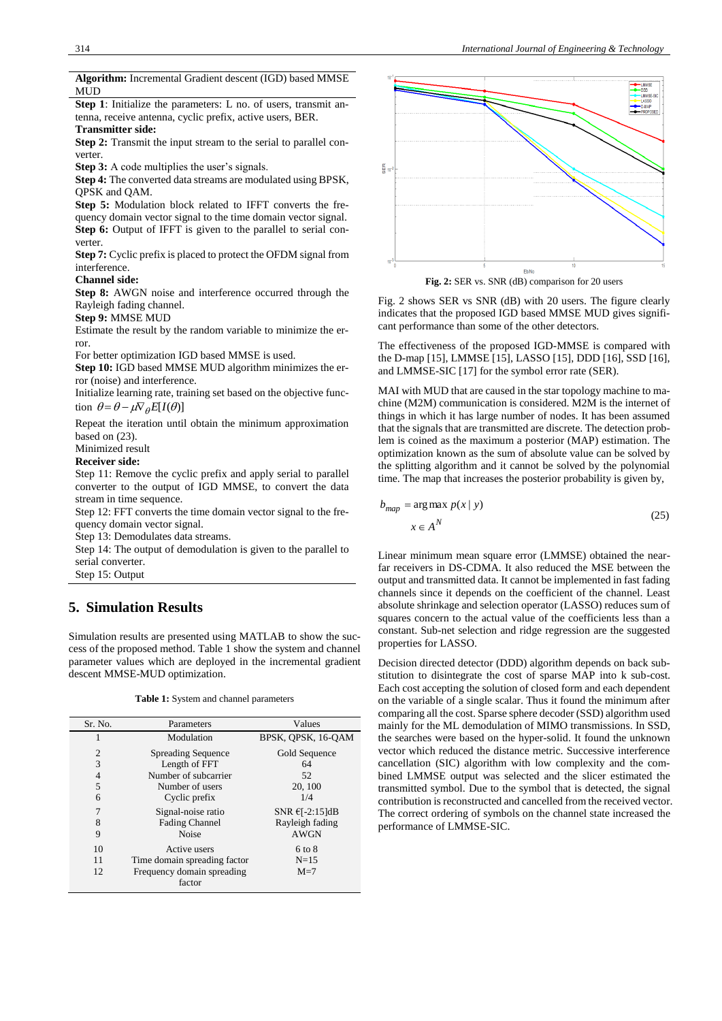**Algorithm:** Incremental Gradient descent (IGD) based MMSE MUD **Step 1**: Initialize the parameters: L no. of users, transmit antenna, receive antenna, cyclic prefix, active users, BER. **Transmitter side: Step 2:** Transmit the input stream to the serial to parallel converter. **Step 3:** A code multiplies the user's signals. **Step 4:** The converted data streams are modulated using BPSK, QPSK and QAM. **Step 5:** Modulation block related to IFFT converts the frequency domain vector signal to the time domain vector signal. **Step 6:** Output of IFFT is given to the parallel to serial converter. **Step 7:** Cyclic prefix is placed to protect the OFDM signal from interference. **Channel side: Step 8:** AWGN noise and interference occurred through the Rayleigh fading channel. **Step 9:** MMSE MUD Estimate the result by the random variable to minimize the error. For better optimization IGD based MMSE is used. **Step 10:** IGD based MMSE MUD algorithm minimizes the error (noise) and interference. Initialize learning rate, training set based on the objective function  $\theta = \theta - \mu \nabla_{\theta} E[I(\theta)]$ Repeat the iteration until obtain the minimum approximation based on (23). Minimized result **Receiver side:** Step 11: Remove the cyclic prefix and apply serial to parallel converter to the output of IGD MMSE, to convert the data stream in time sequence. Step 12: FFT converts the time domain vector signal to the frequency domain vector signal.

Step 13: Demodulates data streams.

Step 14: The output of demodulation is given to the parallel to serial converter.

Step 15: Output

# **5. Simulation Results**

Simulation results are presented using MATLAB to show the success of the proposed method. Table 1 show the system and channel parameter values which are deployed in the incremental gradient descent MMSE-MUD optimization.

**Table 1:** System and channel parameters

| Sr. No.        | Parameters                           | Values             |
|----------------|--------------------------------------|--------------------|
|                | Modulation                           | BPSK, OPSK, 16-OAM |
| $\overline{c}$ | <b>Spreading Sequence</b>            | Gold Sequence      |
| 3              | Length of FFT                        | 64                 |
| $\overline{4}$ | Number of subcarrier                 | 52                 |
| 5              | Number of users                      | 20, 100            |
| 6              | Cyclic prefix                        | 1/4                |
| 7              | Signal-noise ratio                   | SNR $E[-2:15]dB$   |
| 8              | <b>Fading Channel</b>                | Rayleigh fading    |
| 9              | <b>Noise</b>                         | <b>AWGN</b>        |
| 10             | Active users                         | 6 to 8             |
| 11             | Time domain spreading factor         | $N=15$             |
| 12             | Frequency domain spreading<br>factor | $M=7$              |



**Fig. 2:** SER vs. SNR (dB) comparison for 20 users

Fig. 2 shows SER vs SNR (dB) with 20 users. The figure clearly indicates that the proposed IGD based MMSE MUD gives significant performance than some of the other detectors.

The effectiveness of the proposed IGD-MMSE is compared with the D-map [15], LMMSE [15], LASSO [15], DDD [16], SSD [16], and LMMSE-SIC [17] for the symbol error rate (SER).

MAI with MUD that are caused in the star topology machine to machine (M2M) communication is considered. M2M is the internet of things in which it has large number of nodes. It has been assumed that the signals that are transmitted are discrete. The detection problem is coined as the maximum a posterior (MAP) estimation. The optimization known as the sum of absolute value can be solved by the splitting algorithm and it cannot be solved by the polynomial time. The map that increases the posterior probability is given by,

$$
b_{map} = \arg \max p(x | y)
$$
  
 
$$
x \in A^N
$$
 (25)

Linear minimum mean square error (LMMSE) obtained the nearfar receivers in DS-CDMA. It also reduced the MSE between the output and transmitted data. It cannot be implemented in fast fading channels since it depends on the coefficient of the channel. Least absolute shrinkage and selection operator (LASSO) reduces sum of squares concern to the actual value of the coefficients less than a constant. Sub-net selection and ridge regression are the suggested properties for LASSO.

Decision directed detector (DDD) algorithm depends on back substitution to disintegrate the cost of sparse MAP into k sub-cost. Each cost accepting the solution of closed form and each dependent on the variable of a single scalar. Thus it found the minimum after comparing all the cost. Sparse sphere decoder (SSD) algorithm used mainly for the ML demodulation of MIMO transmissions. In SSD, the searches were based on the hyper-solid. It found the unknown vector which reduced the distance metric. Successive interference cancellation (SIC) algorithm with low complexity and the combined LMMSE output was selected and the slicer estimated the transmitted symbol. Due to the symbol that is detected, the signal contribution is reconstructed and cancelled from the received vector. The correct ordering of symbols on the channel state increased the performance of LMMSE-SIC.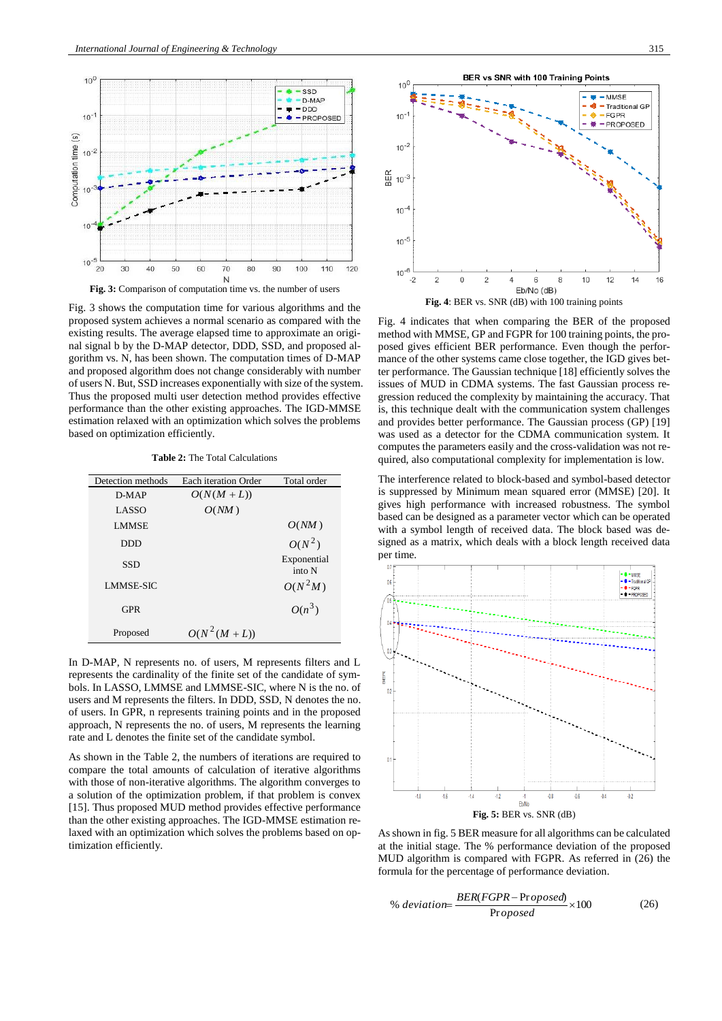

Fig. 3 shows the computation time for various algorithms and the proposed system achieves a normal scenario as compared with the existing results. The average elapsed time to approximate an original signal b by the D-MAP detector, DDD, SSD, and proposed algorithm vs. N, has been shown. The computation times of D-MAP and proposed algorithm does not change considerably with number of users N. But, SSD increases exponentially with size of the system. Thus the proposed multi user detection method provides effective performance than the other existing approaches. The IGD-MMSE estimation relaxed with an optimization which solves the problems based on optimization efficiently.

**Table 2:** The Total Calculations

| Detection methods | <b>Each iteration Order</b> | Total order           |
|-------------------|-----------------------------|-----------------------|
| $D-MAP$           | $O(N(M+L))$                 |                       |
| LASSO             | O(NM)                       |                       |
| <b>LMMSE</b>      |                             | O(NM)                 |
| <b>DDD</b>        |                             | $O(N^2)$              |
| <b>SSD</b>        |                             | Exponential<br>into N |
| <b>LMMSE-SIC</b>  |                             | $O(N^2M)$             |
| <b>GPR</b>        |                             | $O(n^3)$              |
| Proposed          | $O(N^2(M+L))$               |                       |

In D-MAP, N represents no. of users, M represents filters and L represents the cardinality of the finite set of the candidate of symbols. In LASSO, LMMSE and LMMSE-SIC, where N is the no. of users and M represents the filters. In DDD, SSD, N denotes the no. of users. In GPR, n represents training points and in the proposed approach, N represents the no. of users, M represents the learning rate and L denotes the finite set of the candidate symbol.

As shown in the Table 2, the numbers of iterations are required to compare the total amounts of calculation of iterative algorithms with those of non-iterative algorithms. The algorithm converges to a solution of the optimization problem, if that problem is convex [15]. Thus proposed MUD method provides effective performance than the other existing approaches. The IGD-MMSE estimation relaxed with an optimization which solves the problems based on optimization efficiently.



Fig. 4 indicates that when comparing the BER of the proposed method with MMSE, GP and FGPR for 100 training points, the proposed gives efficient BER performance. Even though the performance of the other systems came close together, the IGD gives better performance. The Gaussian technique [18] efficiently solves the issues of MUD in CDMA systems. The fast Gaussian process regression reduced the complexity by maintaining the accuracy. That is, this technique dealt with the communication system challenges and provides better performance. The Gaussian process (GP) [19] was used as a detector for the CDMA communication system. It computes the parameters easily and the cross-validation was not required, also computational complexity for implementation is low.

The interference related to block-based and symbol-based detector is suppressed by Minimum mean squared error (MMSE) [20]. It gives high performance with increased robustness. The symbol based can be designed as a parameter vector which can be operated with a symbol length of received data. The block based was designed as a matrix, which deals with a block length received data per time.



As shown in fig. 5 BER measure for all algorithms can be calculated at the initial stage. The % performance deviation of the proposed MUD algorithm is compared with FGPR. As referred in (26) the formula for the percentage of performance deviation.

% deviation=
$$
\frac{BER(FGPR - Proposed)}{Proposed} \times 100
$$
 (26)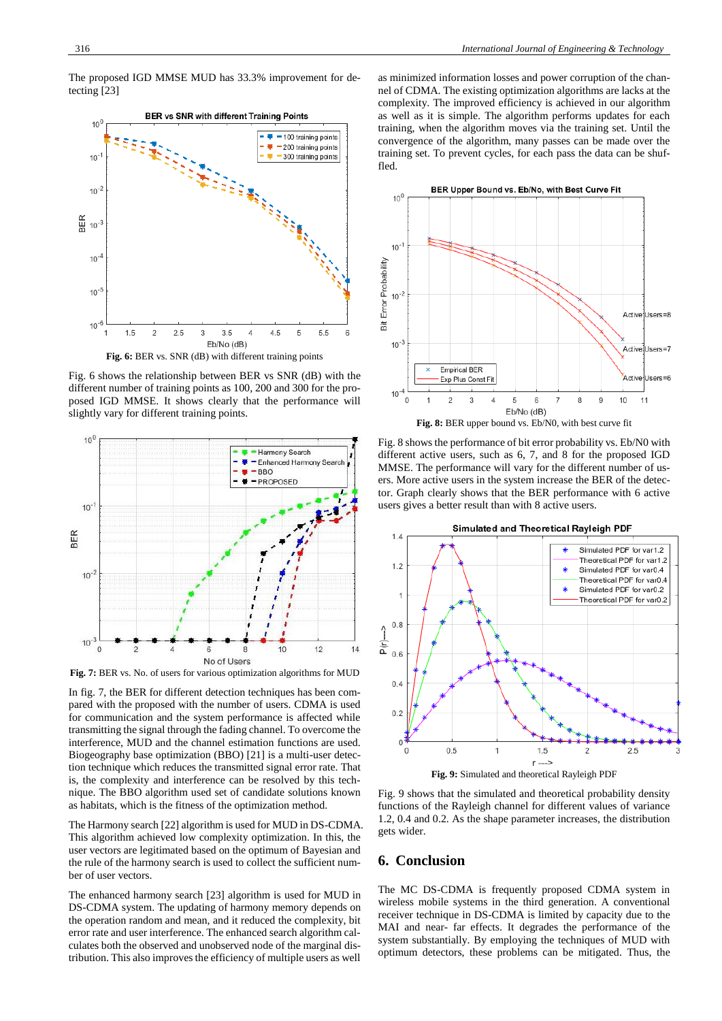The proposed IGD MMSE MUD has 33.3% improvement for detecting [23]



Fig. 6 shows the relationship between BER vs SNR (dB) with the different number of training points as 100, 200 and 300 for the proposed IGD MMSE. It shows clearly that the performance will slightly vary for different training points.



**Fig. 7:** BER vs. No. of users for various optimization algorithms for MUD

In fig. 7, the BER for different detection techniques has been compared with the proposed with the number of users. CDMA is used for communication and the system performance is affected while transmitting the signal through the fading channel. To overcome the interference, MUD and the channel estimation functions are used. Biogeography base optimization (BBO) [21] is a multi-user detection technique which reduces the transmitted signal error rate. That is, the complexity and interference can be resolved by this technique. The BBO algorithm used set of candidate solutions known as habitats, which is the fitness of the optimization method.

The Harmony search [22] algorithm is used for MUD in DS-CDMA. This algorithm achieved low complexity optimization. In this, the user vectors are legitimated based on the optimum of Bayesian and the rule of the harmony search is used to collect the sufficient number of user vectors.

The enhanced harmony search [23] algorithm is used for MUD in DS-CDMA system. The updating of harmony memory depends on the operation random and mean, and it reduced the complexity, bit error rate and user interference. The enhanced search algorithm calculates both the observed and unobserved node of the marginal distribution. This also improves the efficiency of multiple users as well

as minimized information losses and power corruption of the channel of CDMA. The existing optimization algorithms are lacks at the complexity. The improved efficiency is achieved in our algorithm as well as it is simple. The algorithm performs updates for each training, when the algorithm moves via the training set. Until the convergence of the algorithm, many passes can be made over the training set. To prevent cycles, for each pass the data can be shuffled.



Fig. 8 shows the performance of bit error probability vs. Eb/N0 with different active users, such as 6, 7, and 8 for the proposed IGD MMSE. The performance will vary for the different number of users. More active users in the system increase the BER of the detector. Graph clearly shows that the BER performance with 6 active users gives a better result than with 8 active users.



**Fig. 9:** Simulated and theoretical Rayleigh PDF

Fig. 9 shows that the simulated and theoretical probability density functions of the Rayleigh channel for different values of variance 1.2, 0.4 and 0.2. As the shape parameter increases, the distribution gets wider.

## **6. Conclusion**

The MC DS-CDMA is frequently proposed CDMA system in wireless mobile systems in the third generation. A conventional receiver technique in DS-CDMA is limited by capacity due to the MAI and near- far effects. It degrades the performance of the system substantially. By employing the techniques of MUD with optimum detectors, these problems can be mitigated. Thus, the